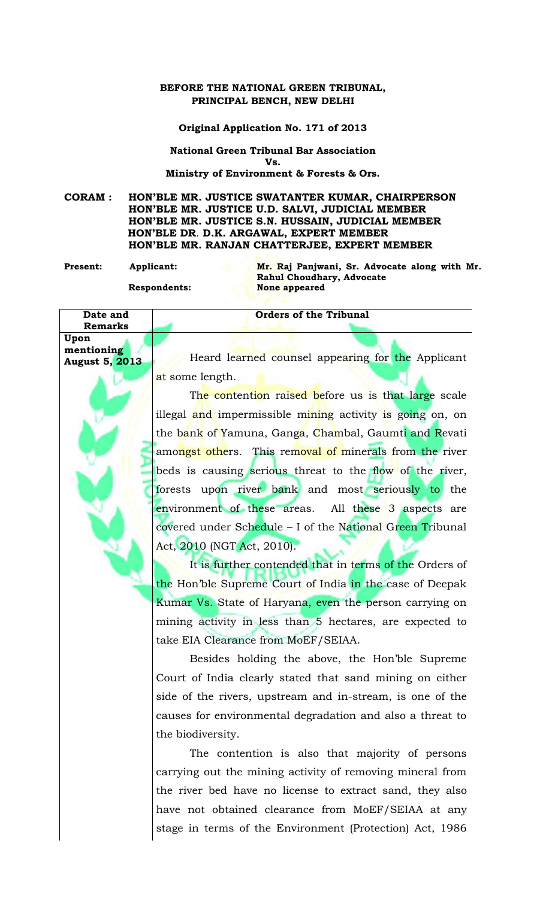## **BEFORE THE NATIONAL GREEN TRIBUNAL, PRINCIPAL BENCH, NEW DELHI**

**Original Application No. 171 of 2013**

**National Green Tribunal Bar Association Vs. Ministry of Environment & Forests & Ors.**

**CORAM : HON'BLE MR. JUSTICE SWATANTER KUMAR, CHAIRPERSON HON'BLE MR. JUSTICE U.D. SALVI, JUDICIAL MEMBER HON'BLE MR. JUSTICE S.N. HUSSAIN, JUDICIAL MEMBER HON'BLE DR**. **D.K. ARGAWAL, EXPERT MEMBER HON'BLE MR. RANJAN CHATTERJEE, EXPERT MEMBER**

**Present: Applicant: Mr. Raj Panjwani, Sr. Advocate along with Mr. Rahul Choudhary, Advocate Respondents: None appeared**

**Orders of the Tribunal**

**Remarks Upon mentioning**

**Date and** 

**August 5, 2013** Heard learned counsel appearing for the Applicant at some length.

> The contention raised before us is that large scale illegal and impermissible mining activity is going on, on the bank of Yamuna, Ganga, Chambal, Gaumti and Revati amongst others. This removal of minerals from the river beds is causing serious threat to the flow of the river, forests upon river bank and most seriously to the environment of these areas. All these 3 aspects are covered under Schedule - I of the National Green Tribunal Act, 2010 (NGT Act, 2010).

> It is further contended that in terms of the Orders of the Hon'ble Supreme Court of India in the case of Deepak Kumar Vs. State of Haryana, even the person carrying on mining activity in less than 5 hectares, are expected to take EIA Clearance from MoEF/SEIAA.

> Besides holding the above, the Hon'ble Supreme Court of India clearly stated that sand mining on either side of the rivers, upstream and in-stream, is one of the causes for environmental degradation and also a threat to the biodiversity.

> The contention is also that majority of persons carrying out the mining activity of removing mineral from the river bed have no license to extract sand, they also have not obtained clearance from MoEF/SEIAA at any stage in terms of the Environment (Protection) Act, 1986